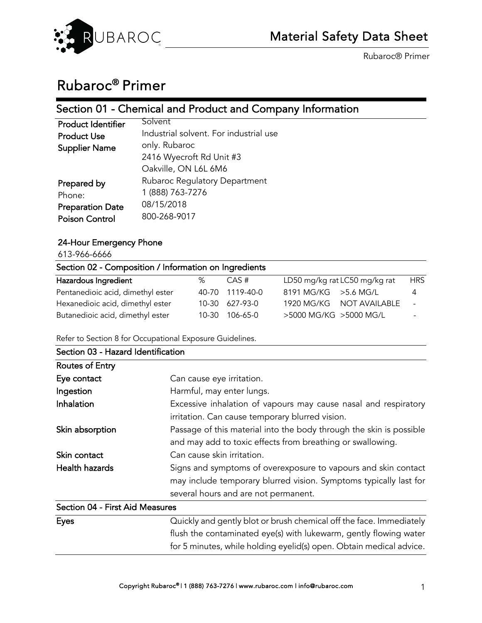

# Rubaroc® Primer

## Section 01 - Chemical and Product and Company Information

| <b>Product Identifier</b> | Solvent                                |
|---------------------------|----------------------------------------|
| <b>Product Use</b>        | Industrial solvent. For industrial use |
| <b>Supplier Name</b>      | only. Rubaroc                          |
|                           | 2416 Wyecroft Rd Unit #3               |
|                           | Oakville, ON L6L 6M6                   |
| Prepared by               | Rubaroc Regulatory Department          |
| Phone:                    | 1 (888) 763-7276                       |
| <b>Preparation Date</b>   | 08/15/2018                             |
| <b>Poison Control</b>     | 800-268-9017                           |
|                           |                                        |

## 24-Hour Emergency Phone

613-966-6666

| Section 02 - Composition / Information on Ingredients |   |                 |                               |            |  |  |  |
|-------------------------------------------------------|---|-----------------|-------------------------------|------------|--|--|--|
| Hazardous Ingredient                                  | % | CAS #           | LD50 mg/kg rat LC50 mg/kg rat | <b>HRS</b> |  |  |  |
| Pentanedioic acid, dimethyl ester                     |   | 40-70 1119-40-0 | $8191$ MG/KG $>$ 5.6 MG/L     | 4          |  |  |  |
| Hexanedioic acid, dimethyl ester                      |   | 10-30 627-93-0  | 1920 MG/KG NOT AVAILABLE      | $\sim$     |  |  |  |
| Butanedioic acid, dimethyl ester                      |   | 10-30 106-65-0  | >5000 MG/KG >5000 MG/L        |            |  |  |  |

Refer to Section 8 for Occupational Exposure Guidelines.

| Section 03 - Hazard Identification |                                                                     |
|------------------------------------|---------------------------------------------------------------------|
| Routes of Entry                    |                                                                     |
| Eye contact                        | Can cause eye irritation.                                           |
| Ingestion                          | Harmful, may enter lungs.                                           |
| Inhalation                         | Excessive inhalation of vapours may cause nasal and respiratory     |
|                                    | irritation. Can cause temporary blurred vision.                     |
| Skin absorption                    | Passage of this material into the body through the skin is possible |
|                                    | and may add to toxic effects from breathing or swallowing.          |
| Skin contact                       | Can cause skin irritation.                                          |
| Health hazards                     | Signs and symptoms of overexposure to vapours and skin contact      |
|                                    | may include temporary blurred vision. Symptoms typically last for   |
|                                    | several hours and are not permanent.                                |
| Section 04 - First Aid Measures    |                                                                     |
| <b>Eves</b>                        | Quickly and gently blot or brush chemical off the face. Immediately |

| Eyes | Quickly and gently blot or brush chemical off the face. Immediately |
|------|---------------------------------------------------------------------|
|      | flush the contaminated eye(s) with lukewarm, gently flowing water   |
|      | for 5 minutes, while holding eyelid(s) open. Obtain medical advice. |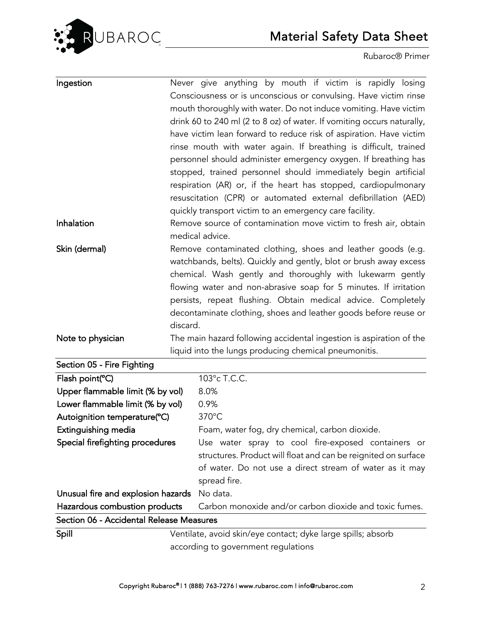

| Ingestion                                |          | Never give anything by mouth if victim is rapidly losing                                            |
|------------------------------------------|----------|-----------------------------------------------------------------------------------------------------|
|                                          |          | Consciousness or is unconscious or convulsing. Have victim rinse                                    |
|                                          |          | mouth thoroughly with water. Do not induce vomiting. Have victim                                    |
|                                          |          | drink 60 to 240 ml (2 to 8 oz) of water. If vomiting occurs naturally,                              |
|                                          |          | have victim lean forward to reduce risk of aspiration. Have victim                                  |
|                                          |          | rinse mouth with water again. If breathing is difficult, trained                                    |
|                                          |          | personnel should administer emergency oxygen. If breathing has                                      |
|                                          |          | stopped, trained personnel should immediately begin artificial                                      |
|                                          |          | respiration (AR) or, if the heart has stopped, cardiopulmonary                                      |
|                                          |          | resuscitation (CPR) or automated external defibrillation (AED)                                      |
|                                          |          | quickly transport victim to an emergency care facility.                                             |
| Inhalation                               |          | Remove source of contamination move victim to fresh air, obtain                                     |
|                                          |          | medical advice.                                                                                     |
| Skin (dermal)                            |          | Remove contaminated clothing, shoes and leather goods (e.g.                                         |
|                                          |          | watchbands, belts). Quickly and gently, blot or brush away excess                                   |
|                                          |          | chemical. Wash gently and thoroughly with lukewarm gently                                           |
|                                          |          | flowing water and non-abrasive soap for 5 minutes. If irritation                                    |
|                                          |          | persists, repeat flushing. Obtain medical advice. Completely                                        |
|                                          |          | decontaminate clothing, shoes and leather goods before reuse or                                     |
|                                          | discard. |                                                                                                     |
| Note to physician                        |          | The main hazard following accidental ingestion is aspiration of the                                 |
|                                          |          | liquid into the lungs producing chemical pneumonitis.                                               |
| Section 05 - Fire Fighting               |          |                                                                                                     |
| Flash point(°C)                          |          | 103°c T.C.C.                                                                                        |
| Upper flammable limit (% by vol)         |          | 8.0%                                                                                                |
| Lower flammable limit (% by vol)         |          | 0.9%                                                                                                |
| Autoignition temperature(°C)             |          |                                                                                                     |
|                                          |          | 370°C                                                                                               |
| Extinguishing media                      |          | Foam, water fog, dry chemical, carbon dioxide.                                                      |
| Special firefighting procedures          |          | Use water spray to cool fire-exposed containers or                                                  |
|                                          |          | structures. Product will float and can be reignited on surface                                      |
|                                          |          | of water. Do not use a direct stream of water as it may                                             |
|                                          |          | spread fire.                                                                                        |
| Unusual fire and explosion hazards       |          | No data.                                                                                            |
| Hazardous combustion products            |          | Carbon monoxide and/or carbon dioxide and toxic fumes.                                              |
| Section 06 - Accidental Release Measures |          |                                                                                                     |
| Spill                                    |          | Ventilate, avoid skin/eye contact; dyke large spills; absorb<br>according to government regulations |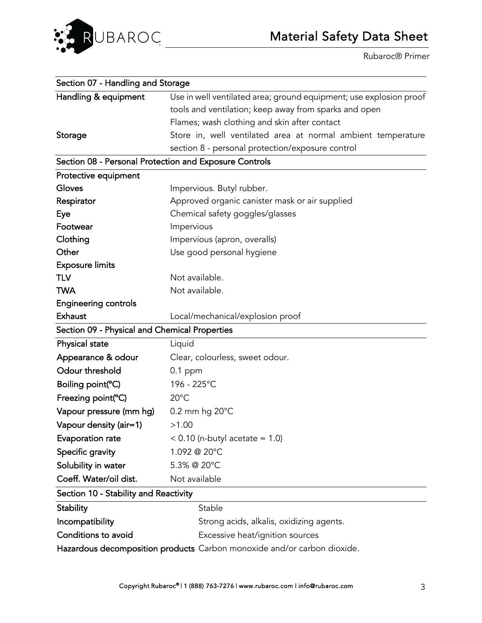

| Section 07 - Handling and Storage                      |                                                                         |
|--------------------------------------------------------|-------------------------------------------------------------------------|
| Handling & equipment                                   | Use in well ventilated area; ground equipment; use explosion proof      |
|                                                        | tools and ventilation; keep away from sparks and open                   |
|                                                        | Flames; wash clothing and skin after contact                            |
| Storage                                                | Store in, well ventilated area at normal ambient temperature            |
|                                                        | section 8 - personal protection/exposure control                        |
| Section 08 - Personal Protection and Exposure Controls |                                                                         |
| Protective equipment                                   |                                                                         |
| Gloves                                                 | Impervious. Butyl rubber.                                               |
| Respirator                                             | Approved organic canister mask or air supplied                          |
| Eye                                                    | Chemical safety goggles/glasses                                         |
| Footwear                                               | Impervious                                                              |
| Clothing                                               | Impervious (apron, overalls)                                            |
| Other                                                  | Use good personal hygiene                                               |
| <b>Exposure limits</b>                                 |                                                                         |
| <b>TLV</b>                                             | Not available.                                                          |
| <b>TWA</b>                                             | Not available.                                                          |
| <b>Engineering controls</b>                            |                                                                         |
| <b>Exhaust</b>                                         | Local/mechanical/explosion proof                                        |
| Section 09 - Physical and Chemical Properties          |                                                                         |
| Physical state                                         | Liquid                                                                  |
| Appearance & odour                                     | Clear, colourless, sweet odour.                                         |
| Odour threshold                                        | $0.1$ ppm                                                               |
| Boiling point(°C)                                      | 196 - 225°C                                                             |
| Freezing point(°C)                                     | $20^{\circ}$ C                                                          |
| Vapour pressure (mm hg)                                | 0.2 mm hg 20°C                                                          |
| Vapour density (air=1)                                 | >1.00                                                                   |
| Evaporation rate                                       | $< 0.10$ (n-butyl acetate = 1.0)                                        |
| Specific gravity                                       | 1.092 @ 20°C                                                            |
| Solubility in water                                    | 5.3% @ 20°C                                                             |
| Coeff. Water/oil dist.                                 | Not available                                                           |
| Section 10 - Stability and Reactivity                  |                                                                         |
| <b>Stability</b>                                       | Stable                                                                  |
| Incompatibility                                        | Strong acids, alkalis, oxidizing agents.                                |
| Conditions to avoid                                    | Excessive heat/ignition sources                                         |
|                                                        | Hazardous decomposition products Carbon monoxide and/or carbon dioxide. |
|                                                        |                                                                         |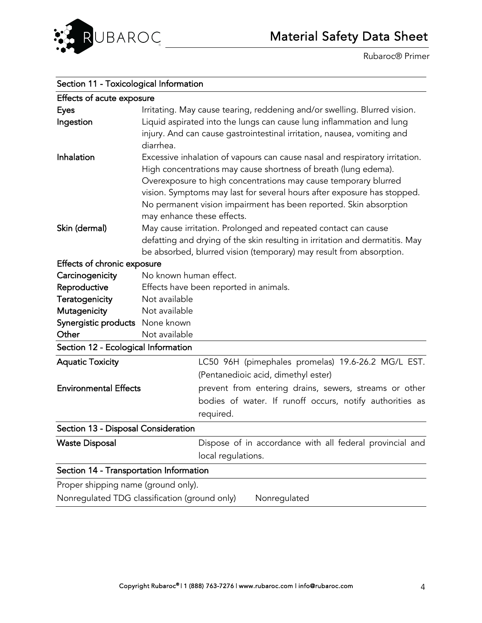

| Section 11 - Toxicological Information  |                                                                                                                                                                                                                                                                                                                                                                                                 |
|-----------------------------------------|-------------------------------------------------------------------------------------------------------------------------------------------------------------------------------------------------------------------------------------------------------------------------------------------------------------------------------------------------------------------------------------------------|
| Effects of acute exposure               |                                                                                                                                                                                                                                                                                                                                                                                                 |
| <b>Eyes</b><br>Ingestion                | Irritating. May cause tearing, reddening and/or swelling. Blurred vision.<br>Liquid aspirated into the lungs can cause lung inflammation and lung<br>injury. And can cause gastrointestinal irritation, nausea, vomiting and                                                                                                                                                                    |
|                                         | diarrhea.                                                                                                                                                                                                                                                                                                                                                                                       |
| Inhalation                              | Excessive inhalation of vapours can cause nasal and respiratory irritation.<br>High concentrations may cause shortness of breath (lung edema).<br>Overexposure to high concentrations may cause temporary blurred<br>vision. Symptoms may last for several hours after exposure has stopped.<br>No permanent vision impairment has been reported. Skin absorption<br>may enhance these effects. |
| Skin (dermal)                           | May cause irritation. Prolonged and repeated contact can cause<br>defatting and drying of the skin resulting in irritation and dermatitis. May<br>be absorbed, blurred vision (temporary) may result from absorption.                                                                                                                                                                           |
| Effects of chronic exposure             |                                                                                                                                                                                                                                                                                                                                                                                                 |
| Carcinogenicity                         | No known human effect.                                                                                                                                                                                                                                                                                                                                                                          |
| Reproductive                            | Effects have been reported in animals.                                                                                                                                                                                                                                                                                                                                                          |
| Teratogenicity                          | Not available                                                                                                                                                                                                                                                                                                                                                                                   |
| Mutagenicity                            | Not available                                                                                                                                                                                                                                                                                                                                                                                   |
| Synergistic products None known         |                                                                                                                                                                                                                                                                                                                                                                                                 |
| Other                                   | Not available                                                                                                                                                                                                                                                                                                                                                                                   |
| Section 12 - Ecological Information     |                                                                                                                                                                                                                                                                                                                                                                                                 |
| <b>Aquatic Toxicity</b>                 | LC50 96H (pimephales promelas) 19.6-26.2 MG/L EST.                                                                                                                                                                                                                                                                                                                                              |
|                                         | (Pentanedioic acid, dimethyl ester)                                                                                                                                                                                                                                                                                                                                                             |
| <b>Environmental Effects</b>            | prevent from entering drains, sewers, streams or other                                                                                                                                                                                                                                                                                                                                          |
|                                         | bodies of water. If runoff occurs, notify authorities as                                                                                                                                                                                                                                                                                                                                        |
|                                         | required.                                                                                                                                                                                                                                                                                                                                                                                       |
| Section 13 - Disposal Consideration     |                                                                                                                                                                                                                                                                                                                                                                                                 |
| <b>Waste Disposal</b>                   | Dispose of in accordance with all federal provincial and<br>local regulations.                                                                                                                                                                                                                                                                                                                  |
| Section 14 - Transportation Information |                                                                                                                                                                                                                                                                                                                                                                                                 |
| Proper shipping name (ground only).     |                                                                                                                                                                                                                                                                                                                                                                                                 |
|                                         | Nonregulated TDG classification (ground only)<br>Nonregulated                                                                                                                                                                                                                                                                                                                                   |